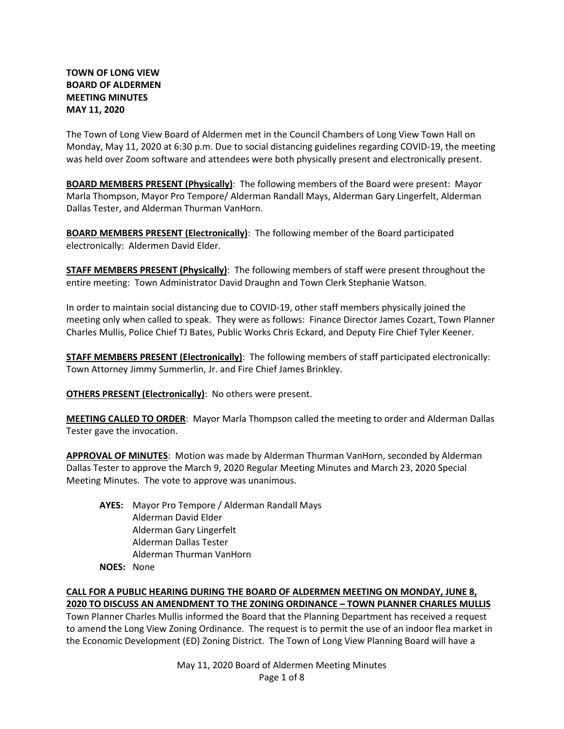# **TOWN OF LONG VIEW BOARD OF ALDERMEN MEETING MINUTES MAY 11, 2020**

The Town of Long View Board of Aldermen met in the Council Chambers of Long View Town Hall on Monday, May 11, 2020 at 6:30 p.m. Due to social distancing guidelines regarding COVID-19, the meeting was held over Zoom software and attendees were both physically present and electronically present.

**BOARD MEMBERS PRESENT (Physically)**: The following members of the Board were present: Mayor Marla Thompson, Mayor Pro Tempore/ Alderman Randall Mays, Alderman Gary Lingerfelt, Alderman Dallas Tester, and Alderman Thurman VanHorn.

**BOARD MEMBERS PRESENT (Electronically)**: The following member of the Board participated electronically: Aldermen David Elder.

**STAFF MEMBERS PRESENT (Physically)**: The following members of staff were present throughout the entire meeting: Town Administrator David Draughn and Town Clerk Stephanie Watson.

In order to maintain social distancing due to COVID-19, other staff members physically joined the meeting only when called to speak. They were as follows: Finance Director James Cozart, Town Planner Charles Mullis, Police Chief TJ Bates, Public Works Chris Eckard, and Deputy Fire Chief Tyler Keener.

**STAFF MEMBERS PRESENT (Electronically)**: The following members of staff participated electronically: Town Attorney Jimmy Summerlin, Jr. and Fire Chief James Brinkley.

**OTHERS PRESENT (Electronically)**: No others were present.

**MEETING CALLED TO ORDER**: Mayor Marla Thompson called the meeting to order and Alderman Dallas Tester gave the invocation.

**APPROVAL OF MINUTES**: Motion was made by Alderman Thurman VanHorn, seconded by Alderman Dallas Tester to approve the March 9, 2020 Regular Meeting Minutes and March 23, 2020 Special Meeting Minutes. The vote to approve was unanimous.

**AYES:** Mayor Pro Tempore / Alderman Randall Mays Alderman David Elder Alderman Gary Lingerfelt Alderman Dallas Tester Alderman Thurman VanHorn **NOES:** None

**CALL FOR A PUBLIC HEARING DURING THE BOARD OF ALDERMEN MEETING ON MONDAY, JUNE 8, 2020 TO DISCUSS AN AMENDMENT TO THE ZONING ORDINANCE – TOWN PLANNER CHARLES MULLIS**

Town Planner Charles Mullis informed the Board that the Planning Department has received a request to amend the Long View Zoning Ordinance. The request is to permit the use of an indoor flea market in the Economic Development (ED) Zoning District. The Town of Long View Planning Board will have a

> May 11, 2020 Board of Aldermen Meeting Minutes Page 1 of 8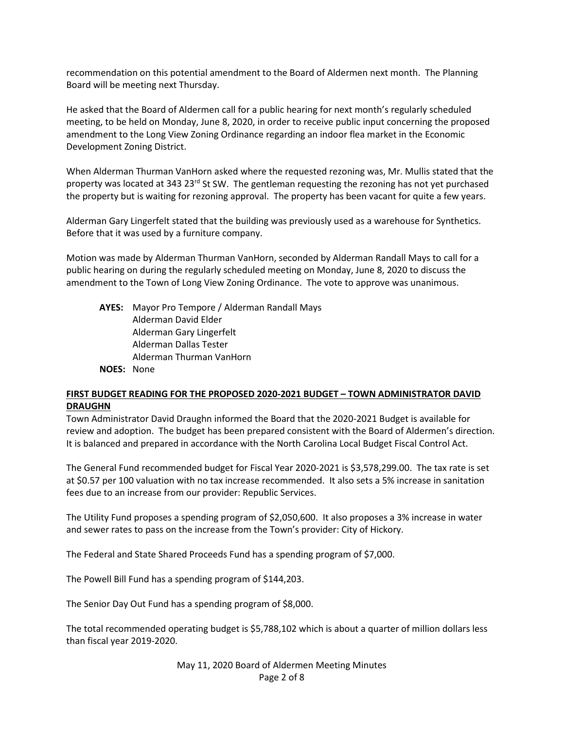recommendation on this potential amendment to the Board of Aldermen next month. The Planning Board will be meeting next Thursday.

He asked that the Board of Aldermen call for a public hearing for next month's regularly scheduled meeting, to be held on Monday, June 8, 2020, in order to receive public input concerning the proposed amendment to the Long View Zoning Ordinance regarding an indoor flea market in the Economic Development Zoning District.

When Alderman Thurman VanHorn asked where the requested rezoning was, Mr. Mullis stated that the property was located at 343 23<sup>rd</sup> St SW. The gentleman requesting the rezoning has not yet purchased the property but is waiting for rezoning approval. The property has been vacant for quite a few years.

Alderman Gary Lingerfelt stated that the building was previously used as a warehouse for Synthetics. Before that it was used by a furniture company.

Motion was made by Alderman Thurman VanHorn, seconded by Alderman Randall Mays to call for a public hearing on during the regularly scheduled meeting on Monday, June 8, 2020 to discuss the amendment to the Town of Long View Zoning Ordinance. The vote to approve was unanimous.

**AYES:** Mayor Pro Tempore / Alderman Randall Mays Alderman David Elder Alderman Gary Lingerfelt Alderman Dallas Tester Alderman Thurman VanHorn **NOES:** None

# **FIRST BUDGET READING FOR THE PROPOSED 2020-2021 BUDGET – TOWN ADMINISTRATOR DAVID DRAUGHN**

Town Administrator David Draughn informed the Board that the 2020-2021 Budget is available for review and adoption. The budget has been prepared consistent with the Board of Aldermen's direction. It is balanced and prepared in accordance with the North Carolina Local Budget Fiscal Control Act.

The General Fund recommended budget for Fiscal Year 2020-2021 is \$3,578,299.00. The tax rate is set at \$0.57 per 100 valuation with no tax increase recommended. It also sets a 5% increase in sanitation fees due to an increase from our provider: Republic Services.

The Utility Fund proposes a spending program of \$2,050,600. It also proposes a 3% increase in water and sewer rates to pass on the increase from the Town's provider: City of Hickory.

The Federal and State Shared Proceeds Fund has a spending program of \$7,000.

The Powell Bill Fund has a spending program of \$144,203.

The Senior Day Out Fund has a spending program of \$8,000.

The total recommended operating budget is \$5,788,102 which is about a quarter of million dollars less than fiscal year 2019-2020.

> May 11, 2020 Board of Aldermen Meeting Minutes Page 2 of 8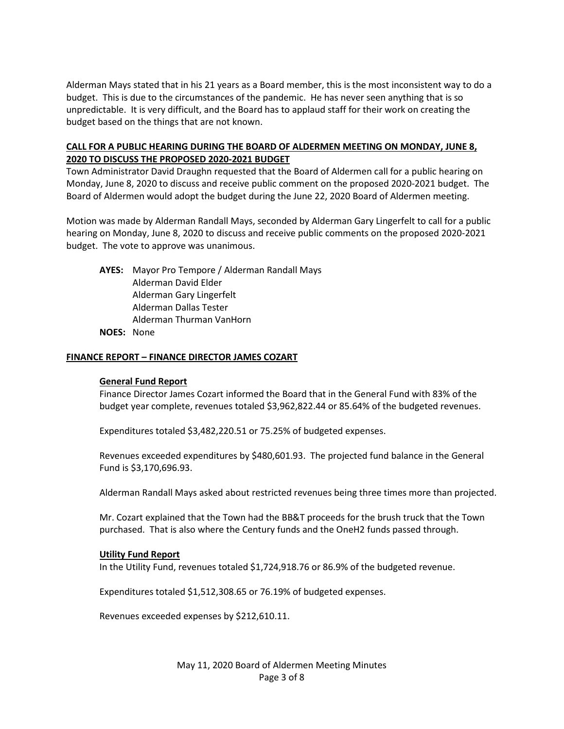Alderman Mays stated that in his 21 years as a Board member, this is the most inconsistent way to do a budget. This is due to the circumstances of the pandemic. He has never seen anything that is so unpredictable. It is very difficult, and the Board has to applaud staff for their work on creating the budget based on the things that are not known.

# **CALL FOR A PUBLIC HEARING DURING THE BOARD OF ALDERMEN MEETING ON MONDAY, JUNE 8, 2020 TO DISCUSS THE PROPOSED 2020-2021 BUDGET**

Town Administrator David Draughn requested that the Board of Aldermen call for a public hearing on Monday, June 8, 2020 to discuss and receive public comment on the proposed 2020-2021 budget. The Board of Aldermen would adopt the budget during the June 22, 2020 Board of Aldermen meeting.

Motion was made by Alderman Randall Mays, seconded by Alderman Gary Lingerfelt to call for a public hearing on Monday, June 8, 2020 to discuss and receive public comments on the proposed 2020-2021 budget. The vote to approve was unanimous.

**AYES:** Mayor Pro Tempore / Alderman Randall Mays Alderman David Elder Alderman Gary Lingerfelt Alderman Dallas Tester Alderman Thurman VanHorn

**NOES:** None

#### **FINANCE REPORT – FINANCE DIRECTOR JAMES COZART**

#### **General Fund Report**

Finance Director James Cozart informed the Board that in the General Fund with 83% of the budget year complete, revenues totaled \$3,962,822.44 or 85.64% of the budgeted revenues.

Expenditures totaled \$3,482,220.51 or 75.25% of budgeted expenses.

Revenues exceeded expenditures by \$480,601.93. The projected fund balance in the General Fund is \$3,170,696.93.

Alderman Randall Mays asked about restricted revenues being three times more than projected.

Mr. Cozart explained that the Town had the BB&T proceeds for the brush truck that the Town purchased. That is also where the Century funds and the OneH2 funds passed through.

#### **Utility Fund Report**

In the Utility Fund, revenues totaled \$1,724,918.76 or 86.9% of the budgeted revenue.

Expenditures totaled \$1,512,308.65 or 76.19% of budgeted expenses.

Revenues exceeded expenses by \$212,610.11.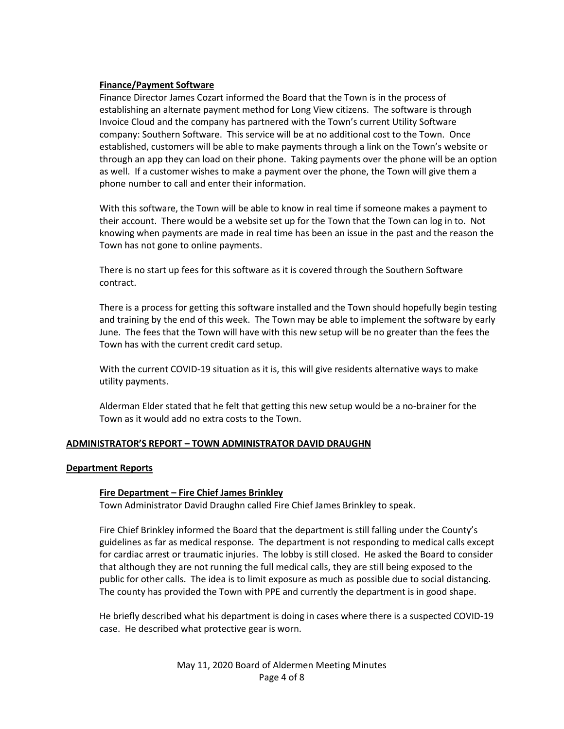### **Finance/Payment Software**

Finance Director James Cozart informed the Board that the Town is in the process of establishing an alternate payment method for Long View citizens. The software is through Invoice Cloud and the company has partnered with the Town's current Utility Software company: Southern Software. This service will be at no additional cost to the Town. Once established, customers will be able to make payments through a link on the Town's website or through an app they can load on their phone. Taking payments over the phone will be an option as well. If a customer wishes to make a payment over the phone, the Town will give them a phone number to call and enter their information.

With this software, the Town will be able to know in real time if someone makes a payment to their account. There would be a website set up for the Town that the Town can log in to. Not knowing when payments are made in real time has been an issue in the past and the reason the Town has not gone to online payments.

There is no start up fees for this software as it is covered through the Southern Software contract.

There is a process for getting this software installed and the Town should hopefully begin testing and training by the end of this week. The Town may be able to implement the software by early June. The fees that the Town will have with this new setup will be no greater than the fees the Town has with the current credit card setup.

With the current COVID-19 situation as it is, this will give residents alternative ways to make utility payments.

Alderman Elder stated that he felt that getting this new setup would be a no-brainer for the Town as it would add no extra costs to the Town.

# **ADMINISTRATOR'S REPORT – TOWN ADMINISTRATOR DAVID DRAUGHN**

#### **Department Reports**

#### **Fire Department – Fire Chief James Brinkley**

Town Administrator David Draughn called Fire Chief James Brinkley to speak.

Fire Chief Brinkley informed the Board that the department is still falling under the County's guidelines as far as medical response. The department is not responding to medical calls except for cardiac arrest or traumatic injuries. The lobby is still closed. He asked the Board to consider that although they are not running the full medical calls, they are still being exposed to the public for other calls. The idea is to limit exposure as much as possible due to social distancing. The county has provided the Town with PPE and currently the department is in good shape.

He briefly described what his department is doing in cases where there is a suspected COVID-19 case. He described what protective gear is worn.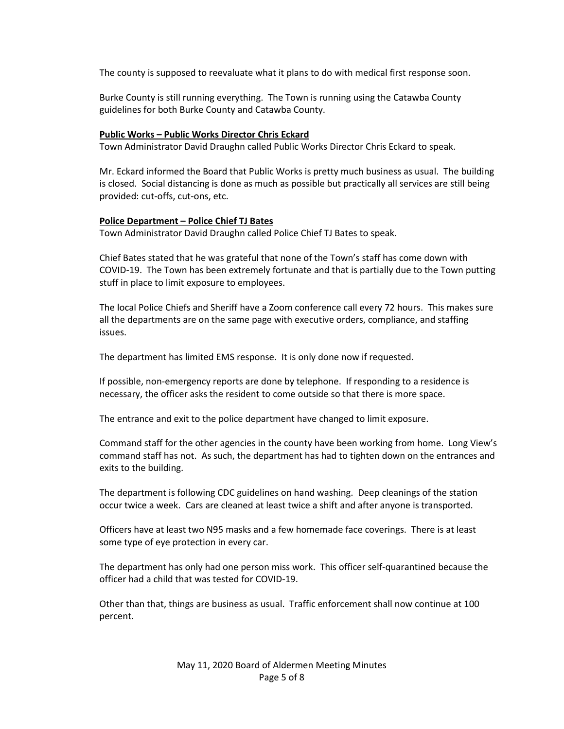The county is supposed to reevaluate what it plans to do with medical first response soon.

Burke County is still running everything. The Town is running using the Catawba County guidelines for both Burke County and Catawba County.

## **Public Works – Public Works Director Chris Eckard**

Town Administrator David Draughn called Public Works Director Chris Eckard to speak.

Mr. Eckard informed the Board that Public Works is pretty much business as usual. The building is closed. Social distancing is done as much as possible but practically all services are still being provided: cut-offs, cut-ons, etc.

#### **Police Department – Police Chief TJ Bates**

Town Administrator David Draughn called Police Chief TJ Bates to speak.

Chief Bates stated that he was grateful that none of the Town's staff has come down with COVID-19. The Town has been extremely fortunate and that is partially due to the Town putting stuff in place to limit exposure to employees.

The local Police Chiefs and Sheriff have a Zoom conference call every 72 hours. This makes sure all the departments are on the same page with executive orders, compliance, and staffing issues.

The department has limited EMS response. It is only done now if requested.

If possible, non-emergency reports are done by telephone. If responding to a residence is necessary, the officer asks the resident to come outside so that there is more space.

The entrance and exit to the police department have changed to limit exposure.

Command staff for the other agencies in the county have been working from home. Long View's command staff has not. As such, the department has had to tighten down on the entrances and exits to the building.

The department is following CDC guidelines on hand washing. Deep cleanings of the station occur twice a week. Cars are cleaned at least twice a shift and after anyone is transported.

Officers have at least two N95 masks and a few homemade face coverings. There is at least some type of eye protection in every car.

The department has only had one person miss work. This officer self-quarantined because the officer had a child that was tested for COVID-19.

Other than that, things are business as usual. Traffic enforcement shall now continue at 100 percent.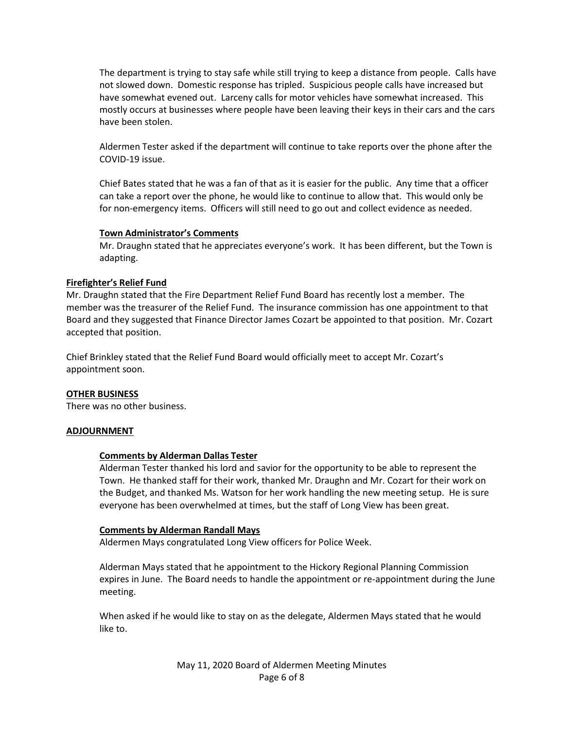The department is trying to stay safe while still trying to keep a distance from people. Calls have not slowed down. Domestic response has tripled. Suspicious people calls have increased but have somewhat evened out. Larceny calls for motor vehicles have somewhat increased. This mostly occurs at businesses where people have been leaving their keys in their cars and the cars have been stolen.

Aldermen Tester asked if the department will continue to take reports over the phone after the COVID-19 issue.

Chief Bates stated that he was a fan of that as it is easier for the public. Any time that a officer can take a report over the phone, he would like to continue to allow that. This would only be for non-emergency items. Officers will still need to go out and collect evidence as needed.

### **Town Administrator's Comments**

Mr. Draughn stated that he appreciates everyone's work. It has been different, but the Town is adapting.

# **Firefighter's Relief Fund**

Mr. Draughn stated that the Fire Department Relief Fund Board has recently lost a member. The member was the treasurer of the Relief Fund. The insurance commission has one appointment to that Board and they suggested that Finance Director James Cozart be appointed to that position. Mr. Cozart accepted that position.

Chief Brinkley stated that the Relief Fund Board would officially meet to accept Mr. Cozart's appointment soon.

# **OTHER BUSINESS**

There was no other business.

#### **ADJOURNMENT**

#### **Comments by Alderman Dallas Tester**

Alderman Tester thanked his lord and savior for the opportunity to be able to represent the Town. He thanked staff for their work, thanked Mr. Draughn and Mr. Cozart for their work on the Budget, and thanked Ms. Watson for her work handling the new meeting setup. He is sure everyone has been overwhelmed at times, but the staff of Long View has been great.

#### **Comments by Alderman Randall Mays**

Aldermen Mays congratulated Long View officers for Police Week.

Alderman Mays stated that he appointment to the Hickory Regional Planning Commission expires in June. The Board needs to handle the appointment or re-appointment during the June meeting.

When asked if he would like to stay on as the delegate, Aldermen Mays stated that he would like to.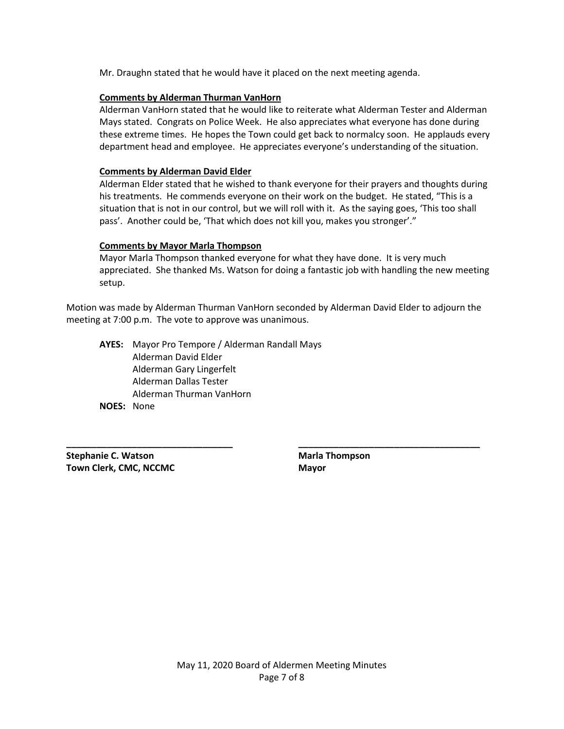Mr. Draughn stated that he would have it placed on the next meeting agenda.

### **Comments by Alderman Thurman VanHorn**

Alderman VanHorn stated that he would like to reiterate what Alderman Tester and Alderman Mays stated. Congrats on Police Week. He also appreciates what everyone has done during these extreme times. He hopes the Town could get back to normalcy soon. He applauds every department head and employee. He appreciates everyone's understanding of the situation.

### **Comments by Alderman David Elder**

Alderman Elder stated that he wished to thank everyone for their prayers and thoughts during his treatments. He commends everyone on their work on the budget. He stated, "This is a situation that is not in our control, but we will roll with it. As the saying goes, 'This too shall pass'. Another could be, 'That which does not kill you, makes you stronger'."

### **Comments by Mayor Marla Thompson**

Mayor Marla Thompson thanked everyone for what they have done. It is very much appreciated. She thanked Ms. Watson for doing a fantastic job with handling the new meeting setup.

Motion was made by Alderman Thurman VanHorn seconded by Alderman David Elder to adjourn the meeting at 7:00 p.m. The vote to approve was unanimous.

**\_\_\_\_\_\_\_\_\_\_\_\_\_\_\_\_\_\_\_\_\_\_\_\_\_\_\_\_\_\_\_\_\_ \_\_\_\_\_\_\_\_\_\_\_\_\_\_\_\_\_\_\_\_\_\_\_\_\_\_\_\_\_\_\_\_\_\_\_\_**

**AYES:** Mayor Pro Tempore / Alderman Randall Mays Alderman David Elder Alderman Gary Lingerfelt Alderman Dallas Tester Alderman Thurman VanHorn **NOES:** None

**Stephanie C. Watson Marla Thompson Town Clerk, CMC, NCCMC Mayor Mayor**